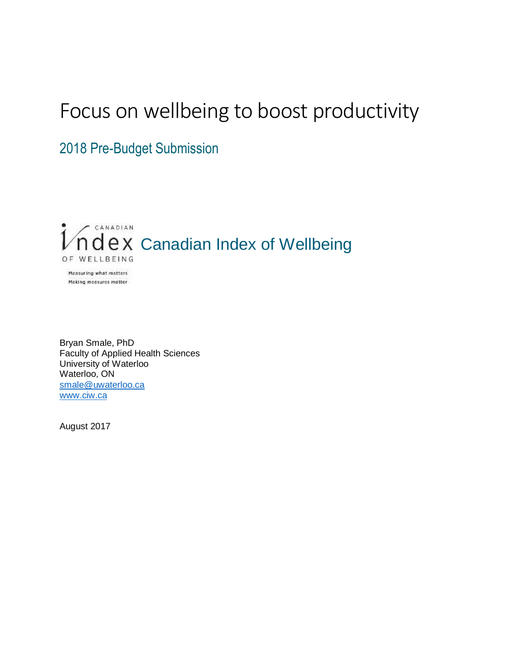# Focus on wellbeing to boost productivity

2018 Pre-Budget Submission



Bryan Smale, PhD Faculty of Applied Health Sciences University of Waterloo Waterloo, ON [smale@uwaterloo.ca](mailto:smale@uwaterloo.ca) [www.ciw.ca](http://www.ciw.ca/)

August 2017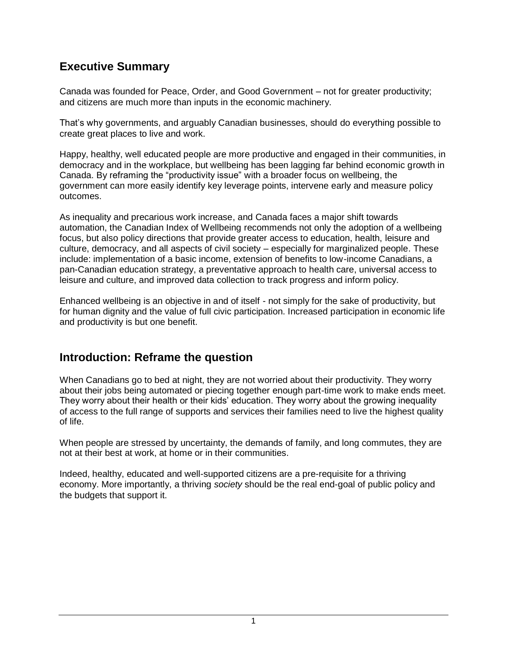# **Executive Summary**

Canada was founded for Peace, Order, and Good Government – not for greater productivity; and citizens are much more than inputs in the economic machinery.

That's why governments, and arguably Canadian businesses, should do everything possible to create great places to live and work.

Happy, healthy, well educated people are more productive and engaged in their communities, in democracy and in the workplace, but wellbeing has been lagging far behind economic growth in Canada. By reframing the "productivity issue" with a broader focus on wellbeing, the government can more easily identify key leverage points, intervene early and measure policy outcomes.

As inequality and precarious work increase, and Canada faces a major shift towards automation, the Canadian Index of Wellbeing recommends not only the adoption of a wellbeing focus, but also policy directions that provide greater access to education, health, leisure and culture, democracy, and all aspects of civil society – especially for marginalized people. These include: implementation of a basic income, extension of benefits to low-income Canadians, a pan-Canadian education strategy, a preventative approach to health care, universal access to leisure and culture, and improved data collection to track progress and inform policy.

Enhanced wellbeing is an objective in and of itself - not simply for the sake of productivity, but for human dignity and the value of full civic participation. Increased participation in economic life and productivity is but one benefit.

### **Introduction: Reframe the question**

When Canadians go to bed at night, they are not worried about their productivity. They worry about their jobs being automated or piecing together enough part-time work to make ends meet. They worry about their health or their kids' education. They worry about the growing inequality of access to the full range of supports and services their families need to live the highest quality of life.

When people are stressed by uncertainty, the demands of family, and long commutes, they are not at their best at work, at home or in their communities.

Indeed, healthy, educated and well-supported citizens are a pre-requisite for a thriving economy. More importantly, a thriving *society* should be the real end-goal of public policy and the budgets that support it.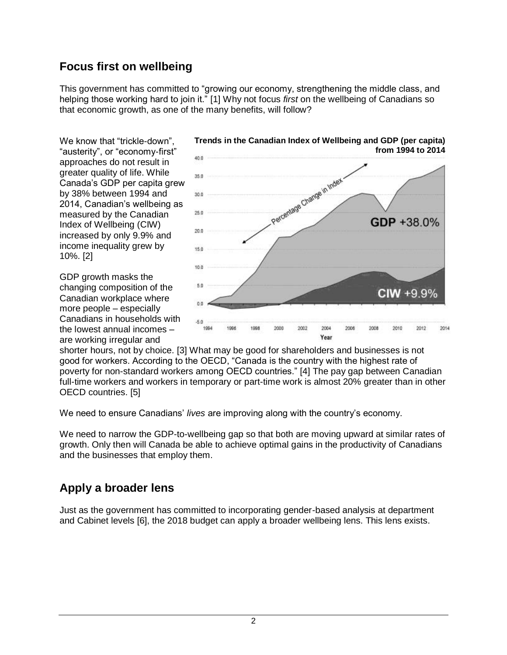# **Focus first on wellbeing**

This government has committed to "growing our economy, strengthening the middle class, and helping those working hard to join it." [1] Why not focus *first* on the wellbeing of Canadians so that economic growth, as one of the many benefits, will follow?

We know that "trickle-down", "austerity", or "economy-first" approaches do not result in greater quality of life. While Canada's GDP per capita grew by 38% between 1994 and 2014, Canadian's wellbeing as measured by the Canadian Index of Wellbeing (CIW) increased by only 9.9% and income inequality grew by 10%. [2]

GDP growth masks the changing composition of the Canadian workplace where more people – especially Canadians in households with the lowest annual incomes – are working irregular and



**Trends in the Canadian Index of Wellbeing and GDP (per capita) from 1994 to 2014**

shorter hours, not by choice. [3] What may be good for shareholders and businesses is not good for workers. According to the OECD, "Canada is the country with the highest rate of poverty for non-standard workers among OECD countries." [4] The pay gap between Canadian full-time workers and workers in temporary or part-time work is almost 20% greater than in other OECD countries. [5]

We need to ensure Canadians' *lives* are improving along with the country's economy.

We need to narrow the GDP-to-wellbeing gap so that both are moving upward at similar rates of growth. Only then will Canada be able to achieve optimal gains in the productivity of Canadians and the businesses that employ them.

# **Apply a broader lens**

Just as the government has committed to incorporating gender-based analysis at department and Cabinet levels [6], the 2018 budget can apply a broader wellbeing lens. This lens exists.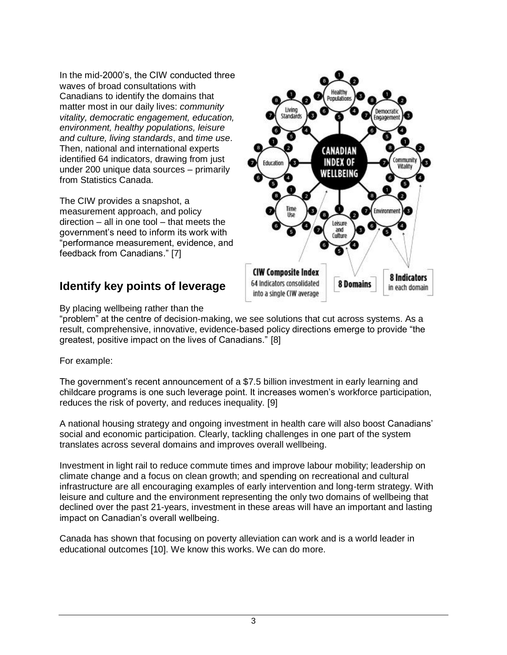In the mid-2000's, the CIW conducted three waves of broad consultations with Canadians to identify the domains that matter most in our daily lives: *community vitality, democratic engagement, education, environment, healthy populations, leisure and culture, living standards*, and *time use*. Then, national and international experts identified 64 indicators, drawing from just under 200 unique data sources – primarily from Statistics Canada.

The CIW provides a snapshot, a measurement approach, and policy direction – all in one tool – that meets the government's need to inform its work with "performance measurement, evidence, and feedback from Canadians." [7]

# **Identify key points of leverage**



By placing wellbeing rather than the

"problem" at the centre of decision-making, we see solutions that cut across systems. As a result, comprehensive, innovative, evidence-based policy directions emerge to provide "the greatest, positive impact on the lives of Canadians." [8]

For example:

The government's recent announcement of a \$7.5 billion investment in early learning and childcare programs is one such leverage point. It increases women's workforce participation, reduces the risk of poverty, and reduces inequality. [9]

A national housing strategy and ongoing investment in health care will also boost Canadians' social and economic participation. Clearly, tackling challenges in one part of the system translates across several domains and improves overall wellbeing.

Investment in light rail to reduce commute times and improve labour mobility; leadership on climate change and a focus on clean growth; and spending on recreational and cultural infrastructure are all encouraging examples of early intervention and long-term strategy. With leisure and culture and the environment representing the only two domains of wellbeing that declined over the past 21-years, investment in these areas will have an important and lasting impact on Canadian's overall wellbeing.

Canada has shown that focusing on poverty alleviation can work and is a world leader in educational outcomes [10]. We know this works. We can do more.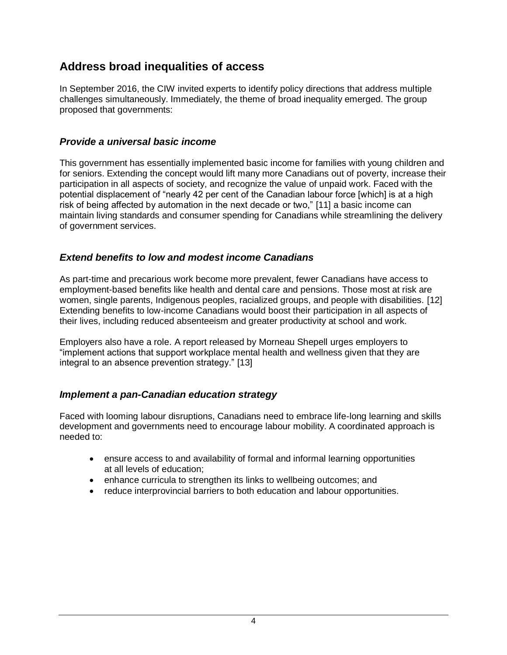## **Address broad inequalities of access**

In September 2016, the CIW invited experts to identify policy directions that address multiple challenges simultaneously. Immediately, the theme of broad inequality emerged. The group proposed that governments:

#### *Provide a universal basic income*

This government has essentially implemented basic income for families with young children and for seniors. Extending the concept would lift many more Canadians out of poverty, increase their participation in all aspects of society, and recognize the value of unpaid work. Faced with the potential displacement of "nearly 42 per cent of the Canadian labour force [which] is at a high risk of being affected by automation in the next decade or two," [11] a basic income can maintain living standards and consumer spending for Canadians while streamlining the delivery of government services.

#### *Extend benefits to low and modest income Canadians*

As part-time and precarious work become more prevalent, fewer Canadians have access to employment-based benefits like health and dental care and pensions. Those most at risk are women, single parents, Indigenous peoples, racialized groups, and people with disabilities. [12] Extending benefits to low-income Canadians would boost their participation in all aspects of their lives, including reduced absenteeism and greater productivity at school and work.

Employers also have a role. A report released by Morneau Shepell urges employers to "implement actions that support workplace mental health and wellness given that they are integral to an absence prevention strategy." [13]

#### *Implement a pan-Canadian education strategy*

Faced with looming labour disruptions, Canadians need to embrace life-long learning and skills development and governments need to encourage labour mobility. A coordinated approach is needed to:

- ensure access to and availability of formal and informal learning opportunities at all levels of education;
- enhance curricula to strengthen its links to wellbeing outcomes; and
- reduce interprovincial barriers to both education and labour opportunities.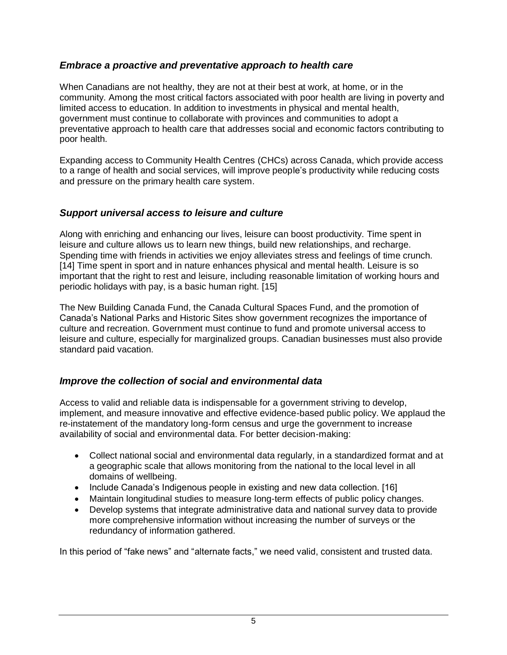#### *Embrace a proactive and preventative approach to health care*

When Canadians are not healthy, they are not at their best at work, at home, or in the community. Among the most critical factors associated with poor health are living in poverty and limited access to education. In addition to investments in physical and mental health, government must continue to collaborate with provinces and communities to adopt a preventative approach to health care that addresses social and economic factors contributing to poor health.

Expanding access to Community Health Centres (CHCs) across Canada, which provide access to a range of health and social services, will improve people's productivity while reducing costs and pressure on the primary health care system.

#### *Support universal access to leisure and culture*

Along with enriching and enhancing our lives, leisure can boost productivity. Time spent in leisure and culture allows us to learn new things, build new relationships, and recharge. Spending time with friends in activities we enjoy alleviates stress and feelings of time crunch. [14] Time spent in sport and in nature enhances physical and mental health. Leisure is so important that the right to rest and leisure, including reasonable limitation of working hours and periodic holidays with pay, is a basic human right. [15]

The New Building Canada Fund, the Canada Cultural Spaces Fund, and the promotion of Canada's National Parks and Historic Sites show government recognizes the importance of culture and recreation. Government must continue to fund and promote universal access to leisure and culture, especially for marginalized groups. Canadian businesses must also provide standard paid vacation.

#### *Improve the collection of social and environmental data*

Access to valid and reliable data is indispensable for a government striving to develop, implement, and measure innovative and effective evidence-based public policy. We applaud the re-instatement of the mandatory long-form census and urge the government to increase availability of social and environmental data. For better decision-making:

- Collect national social and environmental data regularly, in a standardized format and at a geographic scale that allows monitoring from the national to the local level in all domains of wellbeing.
- Include Canada's Indigenous people in existing and new data collection. [16]
- Maintain longitudinal studies to measure long-term effects of public policy changes.
- Develop systems that integrate administrative data and national survey data to provide more comprehensive information without increasing the number of surveys or the redundancy of information gathered.

In this period of "fake news" and "alternate facts," we need valid, consistent and trusted data.